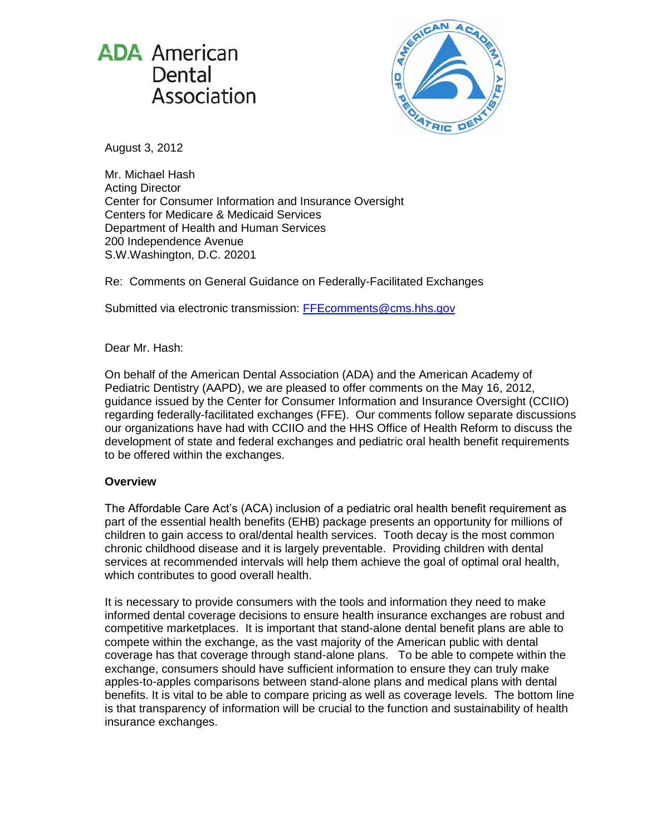



August 3, 2012

Mr. Michael Hash Acting Director Center for Consumer Information and Insurance Oversight Centers for Medicare & Medicaid Services Department of Health and Human Services 200 Independence Avenue S.W.Washington, D.C. 20201

Re: Comments on General Guidance on Federally-Facilitated Exchanges

Submitted via electronic transmission: [FFEcomments@cms.hhs.gov](mailto:FFEcomments@cms.hhs.gov)

# Dear Mr. Hash:

On behalf of the American Dental Association (ADA) and the American Academy of Pediatric Dentistry (AAPD), we are pleased to offer comments on the May 16, 2012, guidance issued by the Center for Consumer Information and Insurance Oversight (CCIIO) regarding federally-facilitated exchanges (FFE). Our comments follow separate discussions our organizations have had with CCIIO and the HHS Office of Health Reform to discuss the development of state and federal exchanges and pediatric oral health benefit requirements to be offered within the exchanges.

## **Overview**

The Affordable Care Act's (ACA) inclusion of a pediatric oral health benefit requirement as part of the essential health benefits (EHB) package presents an opportunity for millions of children to gain access to oral/dental health services. Tooth decay is the most common chronic childhood disease and it is largely preventable. Providing children with dental services at recommended intervals will help them achieve the goal of optimal oral health, which contributes to good overall health.

It is necessary to provide consumers with the tools and information they need to make informed dental coverage decisions to ensure health insurance exchanges are robust and competitive marketplaces. It is important that stand-alone dental benefit plans are able to compete within the exchange, as the vast majority of the American public with dental coverage has that coverage through stand-alone plans. To be able to compete within the exchange, consumers should have sufficient information to ensure they can truly make apples-to-apples comparisons between stand-alone plans and medical plans with dental benefits. It is vital to be able to compare pricing as well as coverage levels. The bottom line is that transparency of information will be crucial to the function and sustainability of health insurance exchanges.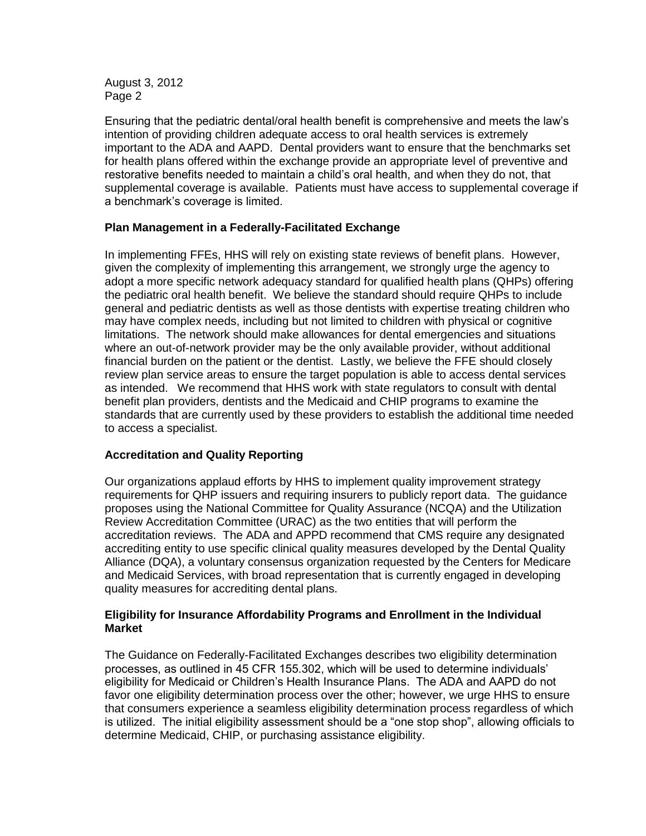August 3, 2012 Page 2

Ensuring that the pediatric dental/oral health benefit is comprehensive and meets the law's intention of providing children adequate access to oral health services is extremely important to the ADA and AAPD. Dental providers want to ensure that the benchmarks set for health plans offered within the exchange provide an appropriate level of preventive and restorative benefits needed to maintain a child's oral health, and when they do not, that supplemental coverage is available. Patients must have access to supplemental coverage if a benchmark's coverage is limited.

#### **Plan Management in a Federally-Facilitated Exchange**

In implementing FFEs, HHS will rely on existing state reviews of benefit plans. However, given the complexity of implementing this arrangement, we strongly urge the agency to adopt a more specific network adequacy standard for qualified health plans (QHPs) offering the pediatric oral health benefit. We believe the standard should require QHPs to include general and pediatric dentists as well as those dentists with expertise treating children who may have complex needs, including but not limited to children with physical or cognitive limitations. The network should make allowances for dental emergencies and situations where an out-of-network provider may be the only available provider, without additional financial burden on the patient or the dentist. Lastly, we believe the FFE should closely review plan service areas to ensure the target population is able to access dental services as intended. We recommend that HHS work with state regulators to consult with dental benefit plan providers, dentists and the Medicaid and CHIP programs to examine the standards that are currently used by these providers to establish the additional time needed to access a specialist.

## **Accreditation and Quality Reporting**

Our organizations applaud efforts by HHS to implement quality improvement strategy requirements for QHP issuers and requiring insurers to publicly report data. The guidance proposes using the National Committee for Quality Assurance (NCQA) and the Utilization Review Accreditation Committee (URAC) as the two entities that will perform the accreditation reviews. The ADA and APPD recommend that CMS require any designated accrediting entity to use specific clinical quality measures developed by the Dental Quality Alliance (DQA), a voluntary consensus organization requested by the Centers for Medicare and Medicaid Services, with broad representation that is currently engaged in developing quality measures for accrediting dental plans.

#### **Eligibility for Insurance Affordability Programs and Enrollment in the Individual Market**

The Guidance on Federally-Facilitated Exchanges describes two eligibility determination processes, as outlined in 45 CFR 155.302, which will be used to determine individuals' eligibility for Medicaid or Children's Health Insurance Plans. The ADA and AAPD do not favor one eligibility determination process over the other; however, we urge HHS to ensure that consumers experience a seamless eligibility determination process regardless of which is utilized. The initial eligibility assessment should be a "one stop shop", allowing officials to determine Medicaid, CHIP, or purchasing assistance eligibility.